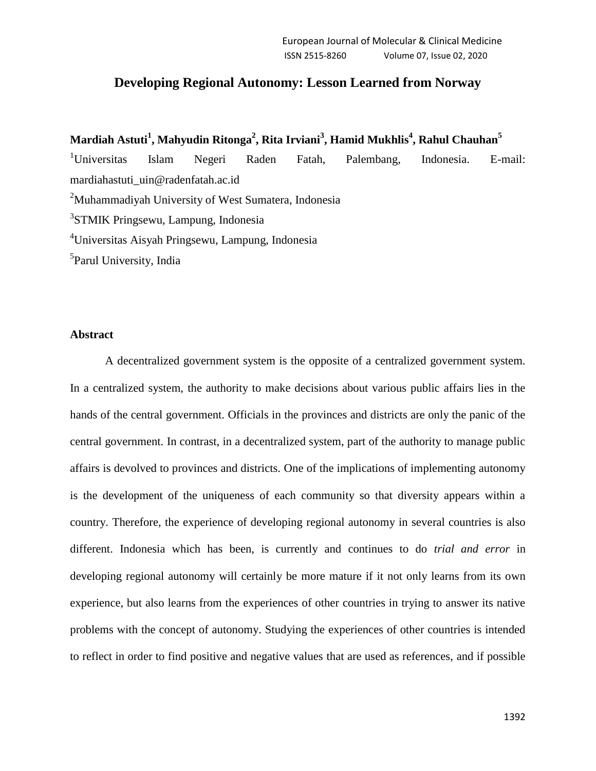### **Developing Regional Autonomy: Lesson Learned from Norway**

**Mardiah Astuti<sup>1</sup> , Mahyudin Ritonga<sup>2</sup> , Rita Irviani<sup>3</sup> , Hamid Mukhlis<sup>4</sup> , Rahul Chauhan<sup>5</sup>** <sup>1</sup>Universitas Islam Negeri Raden Fatah, Palembang, Indonesia. E-mail: mardiahastuti\_uin@radenfatah.ac.id <sup>2</sup>Muhammadiyah University of West Sumatera, Indonesia 3 STMIK Pringsewu, Lampung, Indonesia <sup>4</sup>Universitas Aisyah Pringsewu, Lampung, Indonesia <sup>5</sup>Parul University, India

### **Abstract**

A decentralized government system is the opposite of a centralized government system. In a centralized system, the authority to make decisions about various public affairs lies in the hands of the central government. Officials in the provinces and districts are only the panic of the central government. In contrast, in a decentralized system, part of the authority to manage public affairs is devolved to provinces and districts. One of the implications of implementing autonomy is the development of the uniqueness of each community so that diversity appears within a country. Therefore, the experience of developing regional autonomy in several countries is also different. Indonesia which has been, is currently and continues to do *trial and error* in developing regional autonomy will certainly be more mature if it not only learns from its own experience, but also learns from the experiences of other countries in trying to answer its native problems with the concept of autonomy. Studying the experiences of other countries is intended to reflect in order to find positive and negative values that are used as references, and if possible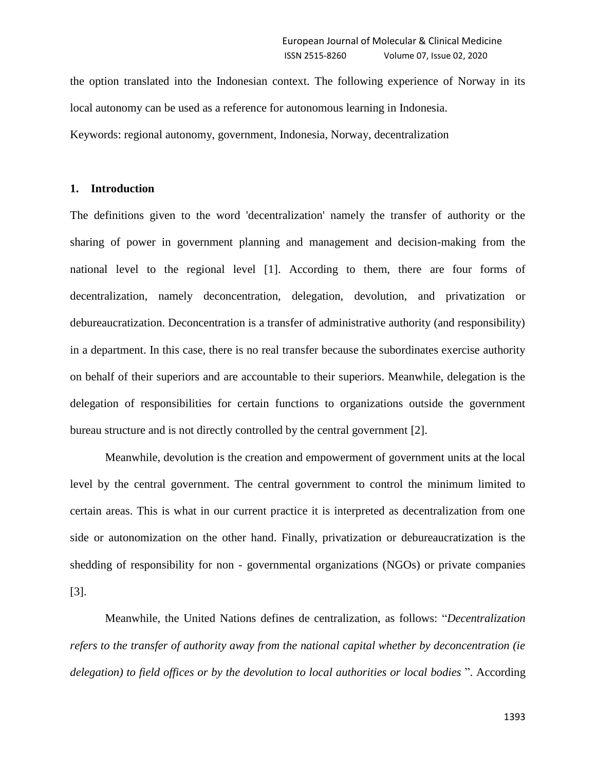the option translated into the Indonesian context. The following experience of Norway in its local autonomy can be used as a reference for autonomous learning in Indonesia. Keywords: regional autonomy, government, Indonesia, Norway, decentralization

### **1. Introduction**

The definitions given to the word 'decentralization' namely the transfer of authority or the sharing of power in government planning and management and decision-making from the national level to the regional level [1]. According to them, there are four forms of decentralization, namely deconcentration, delegation, devolution, and privatization or debureaucratization. Deconcentration is a transfer of administrative authority (and responsibility) in a department. In this case, there is no real transfer because the subordinates exercise authority on behalf of their superiors and are accountable to their superiors. Meanwhile, delegation is the delegation of responsibilities for certain functions to organizations outside the government bureau structure and is not directly controlled by the central government [2].

Meanwhile, devolution is the creation and empowerment of government units at the local level by the central government. The central government to control the minimum limited to certain areas. This is what in our current practice it is interpreted as decentralization from one side or autonomization on the other hand. Finally, privatization or debureaucratization is the shedding of responsibility for non - governmental organizations (NGOs) or private companies [3].

Meanwhile, the United Nations defines de centralization, as follows: "*Decentralization refers to the transfer of authority away from the national capital whether by deconcentration (ie delegation) to field offices or by the devolution to local authorities or local bodies* ". According

1393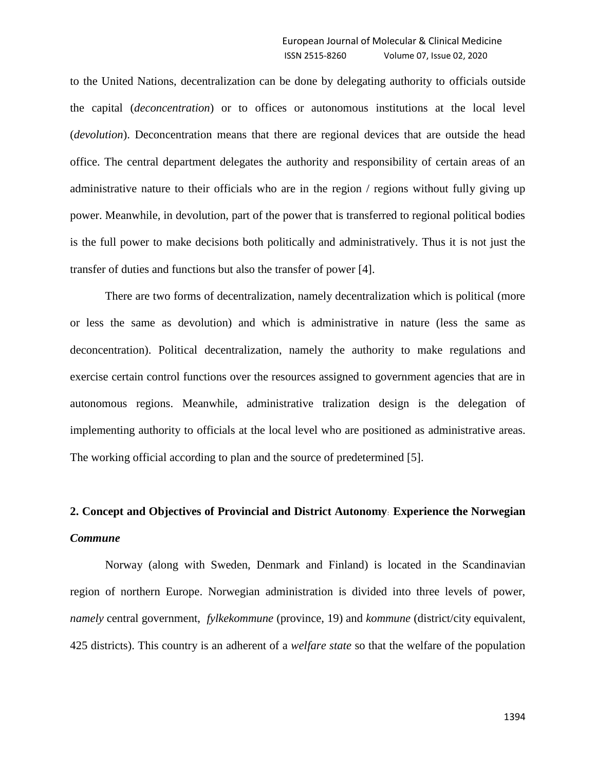to the United Nations, decentralization can be done by delegating authority to officials outside the capital (*deconcentration*) or to offices or autonomous institutions at the local level (*devolution*). Deconcentration means that there are regional devices that are outside the head office. The central department delegates the authority and responsibility of certain areas of an administrative nature to their officials who are in the region / regions without fully giving up power. Meanwhile, in devolution, part of the power that is transferred to regional political bodies is the full power to make decisions both politically and administratively. Thus it is not just the transfer of duties and functions but also the transfer of power [4].

There are two forms of decentralization, namely decentralization which is political (more or less the same as devolution) and which is administrative in nature (less the same as deconcentration). Political decentralization, namely the authority to make regulations and exercise certain control functions over the resources assigned to government agencies that are in autonomous regions. Meanwhile, administrative tralization design is the delegation of implementing authority to officials at the local level who are positioned as administrative areas. The working official according to plan and the source of predetermined [5].

# **2. Concept and Objectives of Provincial and District Autonomy**: **Experience the Norwegian**  *Commune*

Norway (along with Sweden, Denmark and Finland) is located in the Scandinavian region of northern Europe. Norwegian administration is divided into three levels of power, *namely* central government, *fylkekommune* (province, 19) and *kommune* (district/city equivalent, 425 districts). This country is an adherent of a *welfare state* so that the welfare of the population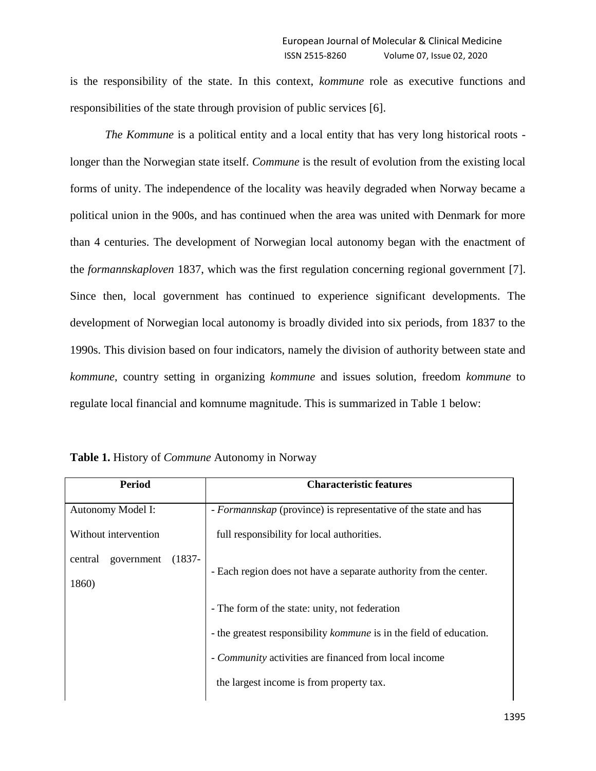is the responsibility of the state. In this context, *kommune* role as executive functions and responsibilities of the state through provision of public services [6].

*The Kommune* is a political entity and a local entity that has very long historical roots longer than the Norwegian state itself. *Commune* is the result of evolution from the existing local forms of unity. The independence of the locality was heavily degraded when Norway became a political union in the 900s, and has continued when the area was united with Denmark for more than 4 centuries. The development of Norwegian local autonomy began with the enactment of the *formannskaploven* 1837, which was the first regulation concerning regional government [7]. Since then, local government has continued to experience significant developments. The development of Norwegian local autonomy is broadly divided into six periods, from 1837 to the 1990s. This division based on four indicators, namely the division of authority between state and *kommune*, country setting in organizing *kommune* and issues solution, freedom *kommune* to regulate local financial and komnume magnitude. This is summarized in Table 1 below:

| <b>Period</b>                      | <b>Characteristic features</b>                                             |
|------------------------------------|----------------------------------------------------------------------------|
| Autonomy Model I:                  | - Formannskap (province) is representative of the state and has            |
| Without intervention               | full responsibility for local authorities.                                 |
| $(1837 -$<br>government<br>central |                                                                            |
| 1860)                              | - Each region does not have a separate authority from the center.          |
|                                    | - The form of the state: unity, not federation                             |
|                                    | - the greatest responsibility <i>kommune</i> is in the field of education. |
|                                    | - <i>Community</i> activities are financed from local income               |
|                                    | the largest income is from property tax.                                   |

**Table 1.** History of *Commune* Autonomy in Norway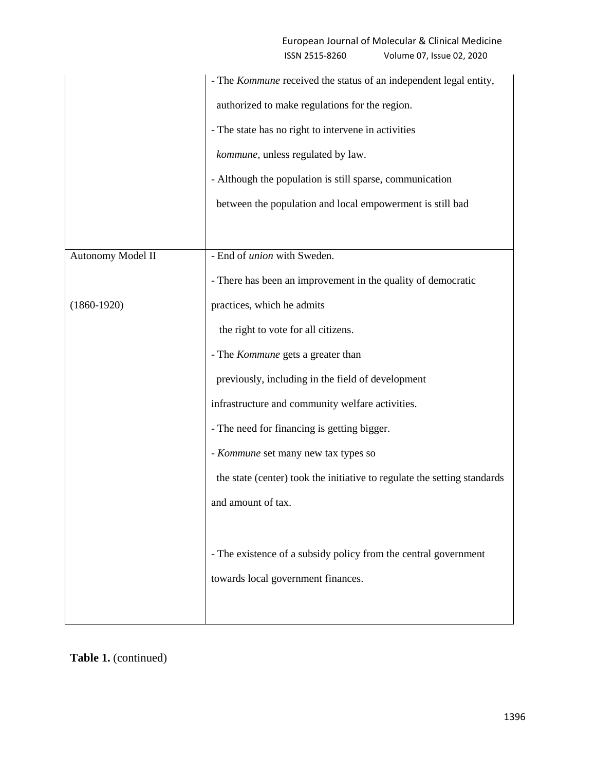## European Journal of Molecular & Clinical Medicine ISSN 2515-8260 Volume 07, Issue 02, 2020

|                   | - The Kommune received the status of an independent legal entity,        |
|-------------------|--------------------------------------------------------------------------|
|                   | authorized to make regulations for the region.                           |
|                   | - The state has no right to intervene in activities                      |
|                   | kommune, unless regulated by law.                                        |
|                   | - Although the population is still sparse, communication                 |
|                   | between the population and local empowerment is still bad                |
|                   |                                                                          |
| Autonomy Model II | - End of <i>union</i> with Sweden.                                       |
|                   | - There has been an improvement in the quality of democratic             |
| $(1860-1920)$     | practices, which he admits                                               |
|                   | the right to vote for all citizens.                                      |
|                   | - The Kommune gets a greater than                                        |
|                   | previously, including in the field of development                        |
|                   | infrastructure and community welfare activities.                         |
|                   | - The need for financing is getting bigger.                              |
|                   | - Kommune set many new tax types so                                      |
|                   | the state (center) took the initiative to regulate the setting standards |
|                   | and amount of tax                                                        |
|                   |                                                                          |
|                   | - The existence of a subsidy policy from the central government          |
|                   | towards local government finances.                                       |
|                   |                                                                          |
|                   |                                                                          |

# **Table 1.** (continued)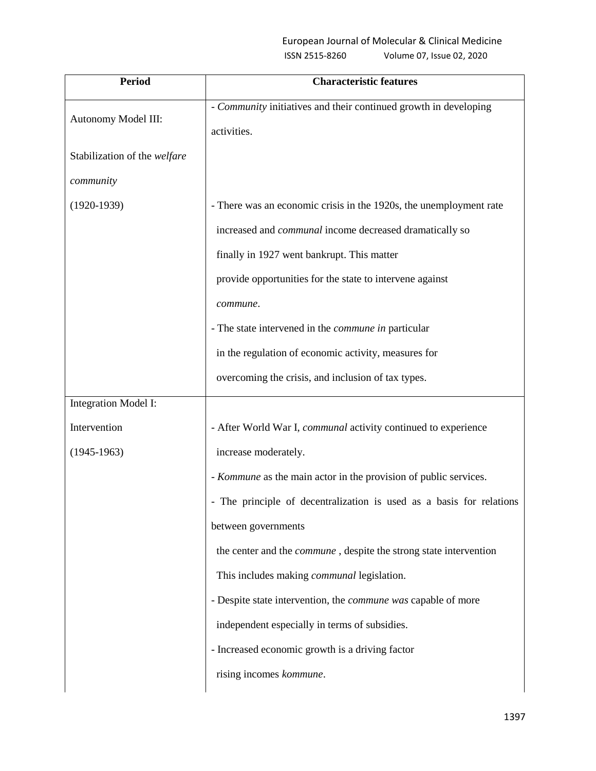| <b>Period</b>                | <b>Characteristic features</b>                                            |
|------------------------------|---------------------------------------------------------------------------|
|                              | - <i>Community</i> initiatives and their continued growth in developing   |
| Autonomy Model III:          | activities.                                                               |
| Stabilization of the welfare |                                                                           |
| community                    |                                                                           |
| $(1920-1939)$                | - There was an economic crisis in the 1920s, the unemployment rate        |
|                              | increased and <i>communal</i> income decreased dramatically so            |
|                              | finally in 1927 went bankrupt. This matter                                |
|                              | provide opportunities for the state to intervene against                  |
|                              | commune.                                                                  |
|                              | - The state intervened in the <i>commune in</i> particular                |
|                              | in the regulation of economic activity, measures for                      |
|                              | overcoming the crisis, and inclusion of tax types.                        |
| Integration Model I:         |                                                                           |
| Intervention                 | - After World War I, communal activity continued to experience            |
| $(1945-1963)$                | increase moderately.                                                      |
|                              | - <i>Kommune</i> as the main actor in the provision of public services.   |
|                              | - The principle of decentralization is used as a basis for relations      |
|                              | between governments                                                       |
|                              | the center and the <i>commune</i> , despite the strong state intervention |
|                              | This includes making <i>communal</i> legislation.                         |
|                              | - Despite state intervention, the <i>commune was</i> capable of more      |
|                              | independent especially in terms of subsidies.                             |
|                              | - Increased economic growth is a driving factor                           |
|                              | rising incomes kommune.                                                   |
|                              |                                                                           |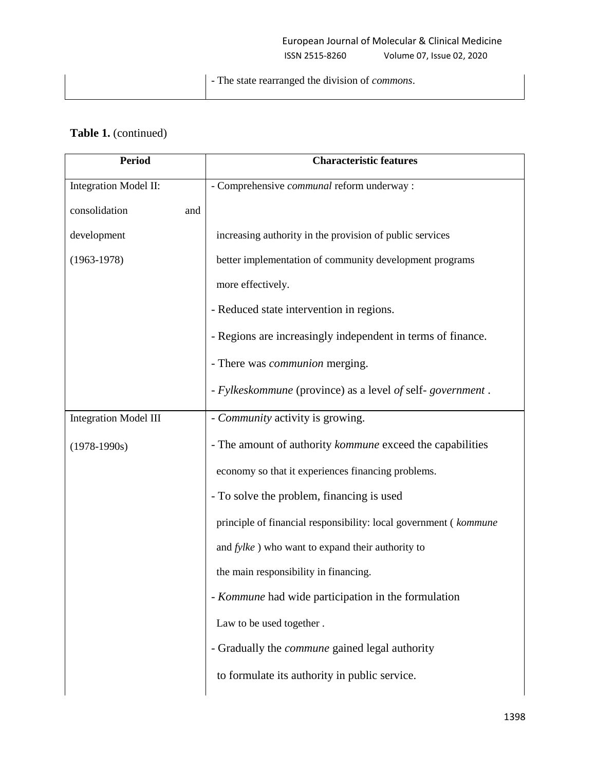| - The state rearranged the division of <i>commons</i> . |
|---------------------------------------------------------|
|                                                         |

# **Table 1.** (continued)

| <b>Period</b>                | <b>Characteristic features</b>                                    |
|------------------------------|-------------------------------------------------------------------|
| Integration Model II:        | - Comprehensive communal reform underway :                        |
| consolidation<br>and         |                                                                   |
| development                  | increasing authority in the provision of public services          |
| $(1963-1978)$                | better implementation of community development programs           |
|                              | more effectively.                                                 |
|                              | - Reduced state intervention in regions.                          |
|                              | - Regions are increasingly independent in terms of finance.       |
|                              | - There was <i>communion</i> merging.                             |
|                              | - Fylkeskommune (province) as a level of self-government.         |
| <b>Integration Model III</b> | - <i>Community</i> activity is growing.                           |
| $(1978-1990s)$               | - The amount of authority kommune exceed the capabilities         |
|                              | economy so that it experiences financing problems.                |
|                              | - To solve the problem, financing is used                         |
|                              | principle of financial responsibility: local government ( kommune |
|                              | and fylke) who want to expand their authority to                  |
|                              | the main responsibility in financing.                             |
|                              | - Kommune had wide participation in the formulation               |
|                              | Law to be used together.                                          |
|                              | - Gradually the <i>commune</i> gained legal authority             |
|                              | to formulate its authority in public service.                     |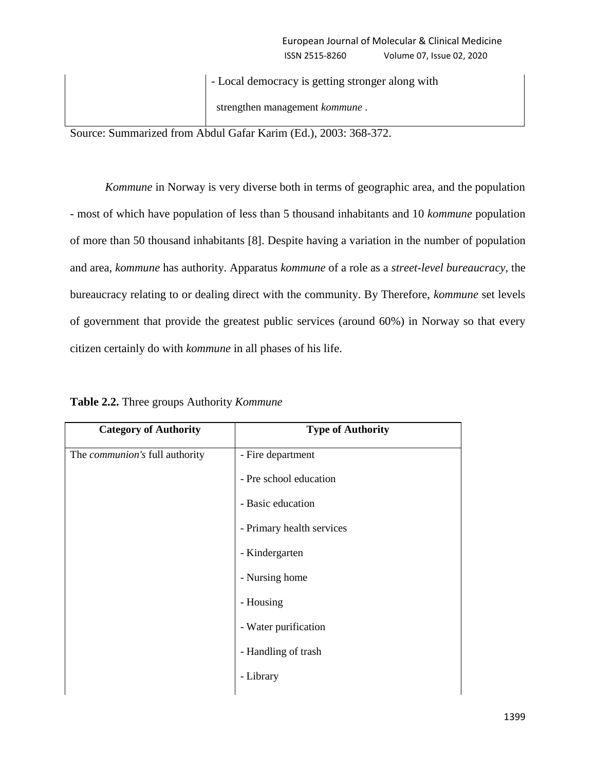- Local democracy is getting stronger along with

strengthen management *kommune* .

Source: Summarized from Abdul Gafar Karim (Ed.), 2003: 368-372.

*Kommune* in Norway is very diverse both in terms of geographic area, and the population - most of which have population of less than 5 thousand inhabitants and 10 *kommune* population of more than 50 thousand inhabitants [8]. Despite having a variation in the number of population and area, *kommune* has authority. Apparatus *kommune* of a role as a *street-level bureaucracy*, the bureaucracy relating to or dealing direct with the community. By Therefore, *kommune* set levels of government that provide the greatest public services (around 60%) in Norway so that every citizen certainly do with *kommune* in all phases of his life.

**Table 2.2.** Three groups Authority *Kommune*

| <b>Type of Authority</b>  |
|---------------------------|
| - Fire department         |
| - Pre school education    |
| - Basic education         |
| - Primary health services |
| - Kindergarten            |
| - Nursing home            |
| - Housing                 |
| - Water purification      |
| - Handling of trash       |
| - Library                 |
|                           |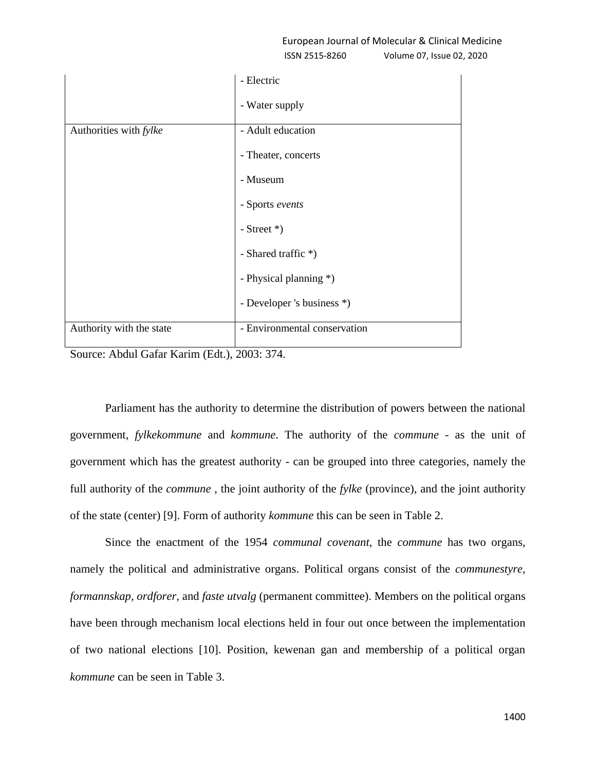European Journal of Molecular & Clinical Medicine ISSN 2515-8260 Volume 07, Issue 02, 2020

|                               | - Electric                   |
|-------------------------------|------------------------------|
|                               | - Water supply               |
| Authorities with <i>fylke</i> | - Adult education            |
|                               | - Theater, concerts          |
|                               | - Museum                     |
|                               | - Sports events              |
|                               | - Street $*)$                |
|                               | - Shared traffic *)          |
|                               | - Physical planning *)       |
|                               | - Developer 's business *)   |
| Authority with the state      | - Environmental conservation |

Source: Abdul Gafar Karim (Edt.), 2003: 374.

Parliament has the authority to determine the distribution of powers between the national government, *fylkekommune* and *kommune*. The authority of the *commune* - as the unit of government which has the greatest authority - can be grouped into three categories, namely the full authority of the *commune* , the joint authority of the *fylke* (province), and the joint authority of the state (center) [9]. Form of authority *kommune* this can be seen in Table 2.

Since the enactment of the 1954 *communal covenant*, the *commune* has two organs, namely the political and administrative organs. Political organs consist of the *communestyre, formannskap, ordforer,* and *faste utvalg* (permanent committee). Members on the political organs have been through mechanism local elections held in four out once between the implementation of two national elections [10]. Position, kewenan gan and membership of a political organ *kommune* can be seen in Table 3.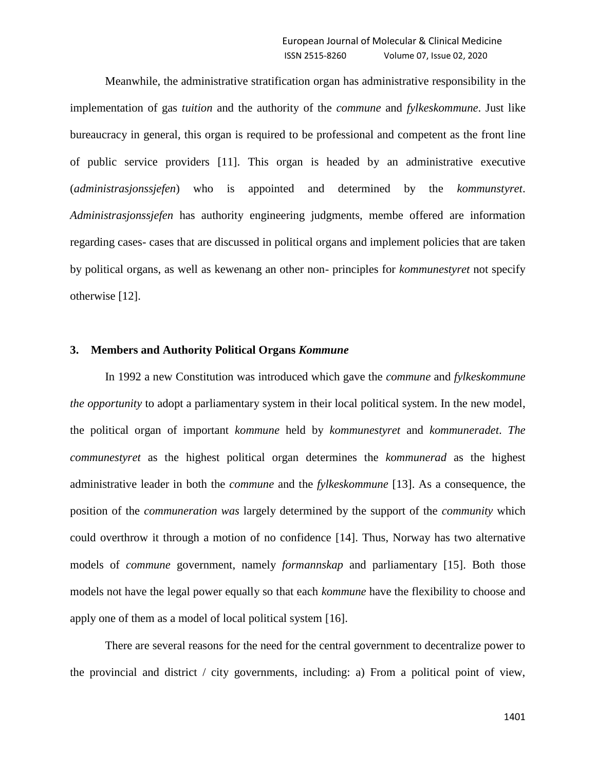Meanwhile, the administrative stratification organ has administrative responsibility in the implementation of gas *tuition* and the authority of the *commune* and *fylkeskommune*. Just like bureaucracy in general, this organ is required to be professional and competent as the front line of public service providers [11]. This organ is headed by an administrative executive (*administrasjonssjefen*) who is appointed and determined by the *kommunstyret*. *Administrasjonssjefen* has authority engineering judgments, membe offered are information regarding cases- cases that are discussed in political organs and implement policies that are taken by political organs, as well as kewenang an other non- principles for *kommunestyret* not specify otherwise [12].

### **3. Members and Authority Political Organs** *Kommune*

In 1992 a new Constitution was introduced which gave the *commune* and *fylkeskommune the opportunity* to adopt a parliamentary system in their local political system. In the new model, the political organ of important *kommune* held by *kommunestyret* and *kommuneradet*. *The communestyret* as the highest political organ determines the *kommunerad* as the highest administrative leader in both the *commune* and the *fylkeskommune* [13]. As a consequence, the position of the *communeration was* largely determined by the support of the *community* which could overthrow it through a motion of no confidence [14]. Thus, Norway has two alternative models of *commune* government, namely *formannskap* and parliamentary [15]. Both those models not have the legal power equally so that each *kommune* have the flexibility to choose and apply one of them as a model of local political system [16].

There are several reasons for the need for the central government to decentralize power to the provincial and district  $\ell$  city governments, including: a) From a political point of view,

1401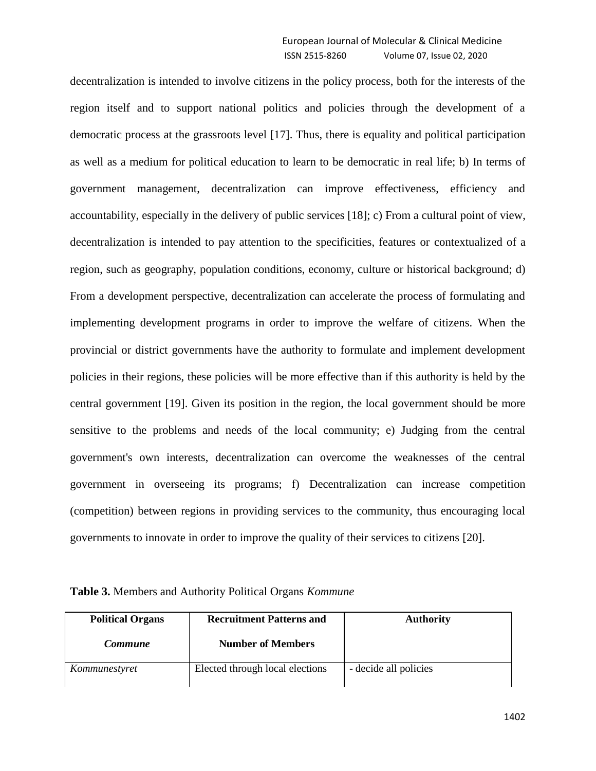decentralization is intended to involve citizens in the policy process, both for the interests of the region itself and to support national politics and policies through the development of a democratic process at the grassroots level [17]. Thus, there is equality and political participation as well as a medium for political education to learn to be democratic in real life; b) In terms of government management, decentralization can improve effectiveness, efficiency and accountability, especially in the delivery of public services [18]; c) From a cultural point of view, decentralization is intended to pay attention to the specificities, features or contextualized of a region, such as geography, population conditions, economy, culture or historical background; d) From a development perspective, decentralization can accelerate the process of formulating and implementing development programs in order to improve the welfare of citizens. When the provincial or district governments have the authority to formulate and implement development policies in their regions, these policies will be more effective than if this authority is held by the central government [19]. Given its position in the region, the local government should be more sensitive to the problems and needs of the local community; e) Judging from the central government's own interests, decentralization can overcome the weaknesses of the central government in overseeing its programs; f) Decentralization can increase competition (competition) between regions in providing services to the community, thus encouraging local governments to innovate in order to improve the quality of their services to citizens [20].

| Table 3. Members and Authority Political Organs Kommune |  |  |
|---------------------------------------------------------|--|--|
|                                                         |  |  |

| <b>Political Organs</b> | <b>Recruitment Patterns and</b> | <b>Authority</b>      |
|-------------------------|---------------------------------|-----------------------|
| Commune                 | <b>Number of Members</b>        |                       |
| Kommunestyret           | Elected through local elections | - decide all policies |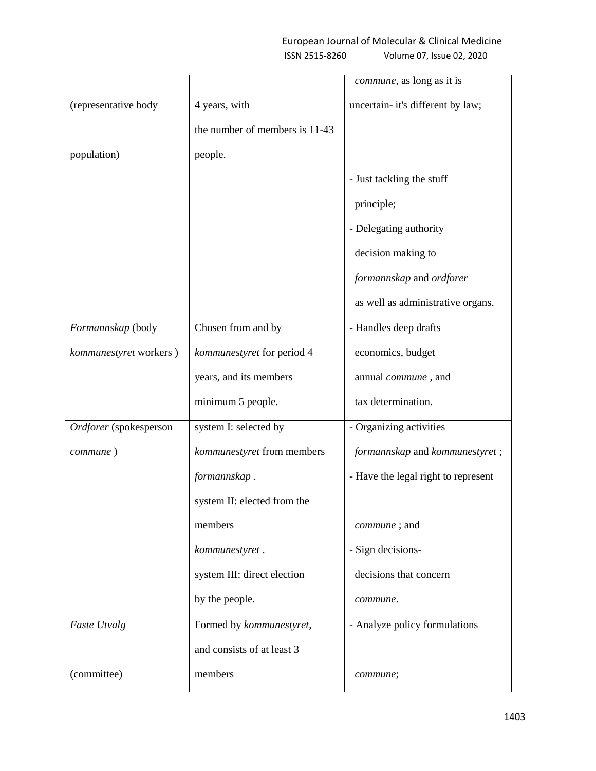### European Journal of Molecular & Clinical Medicine ISSN 2515-8260 Volume 07, Issue 02, 2020

|                        |                                | commune, as long as it is           |
|------------------------|--------------------------------|-------------------------------------|
| (representative body   | 4 years, with                  | uncertain- it's different by law;   |
|                        | the number of members is 11-43 |                                     |
| population)            | people.                        |                                     |
|                        |                                | - Just tackling the stuff           |
|                        |                                | principle;                          |
|                        |                                | - Delegating authority              |
|                        |                                | decision making to                  |
|                        |                                | formannskap and ordforer            |
|                        |                                | as well as administrative organs.   |
| Formannskap (body      | Chosen from and by             | - Handles deep drafts               |
| kommunestyret workers) | kommunestyret for period 4     | economics, budget                   |
|                        | years, and its members         | annual commune, and                 |
|                        | minimum 5 people.              | tax determination.                  |
| Ordforer (spokesperson | system I: selected by          | - Organizing activities             |
| commune)               | kommunestyret from members     | formannskap and kommunestyret;      |
|                        | formannskap.                   | - Have the legal right to represent |
|                        | system II: elected from the    |                                     |
|                        | members                        | commune; and                        |
|                        | kommunestyret.                 | - Sign decisions-                   |
|                        | system III: direct election    | decisions that concern              |
|                        | by the people.                 | commune.                            |
| Faste Utvalg           | Formed by kommunestyret,       | - Analyze policy formulations       |
|                        | and consists of at least 3     |                                     |
| (committee)            | members                        | commune;                            |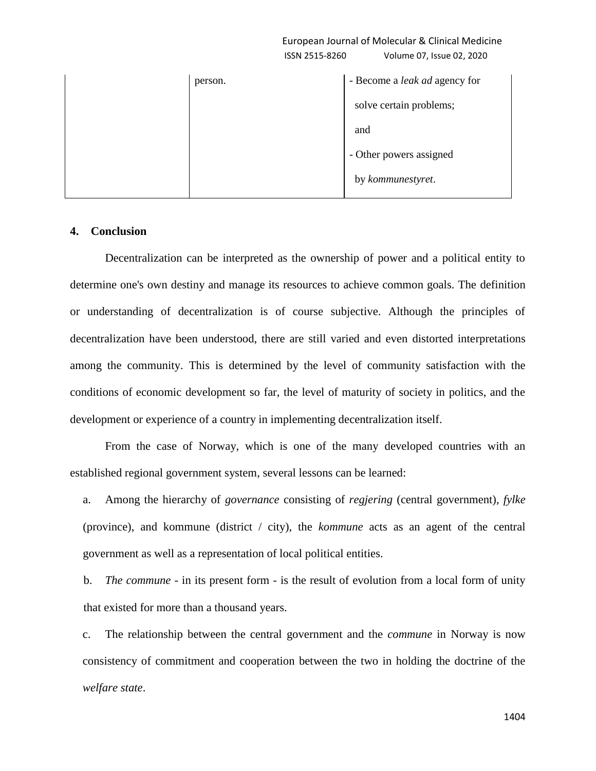| ISSN 2515-8260 | Volume 07, Issue 02, 2020     |  |
|----------------|-------------------------------|--|
| person.        | - Become a leak ad agency for |  |
|                | solve certain problems;       |  |
|                | and                           |  |
|                | - Other powers assigned       |  |
|                | by kommunestyret.             |  |
|                |                               |  |

European Journal of Molecular & Clinical Medicine

### **4. Conclusion**

Decentralization can be interpreted as the ownership of power and a political entity to determine one's own destiny and manage its resources to achieve common goals. The definition or understanding of decentralization is of course subjective. Although the principles of decentralization have been understood, there are still varied and even distorted interpretations among the community. This is determined by the level of community satisfaction with the conditions of economic development so far, the level of maturity of society in politics, and the development or experience of a country in implementing decentralization itself.

From the case of Norway, which is one of the many developed countries with an established regional government system, several lessons can be learned:

a. Among the hierarchy of *governance* consisting of *regjering* (central government), *fylke*  (province), and kommune (district / city), the *kommune* acts as an agent of the central government as well as a representation of local political entities.

b. *The commune* - in its present form - is the result of evolution from a local form of unity that existed for more than a thousand years.

c. The relationship between the central government and the *commune* in Norway is now consistency of commitment and cooperation between the two in holding the doctrine of the *welfare state*.

1404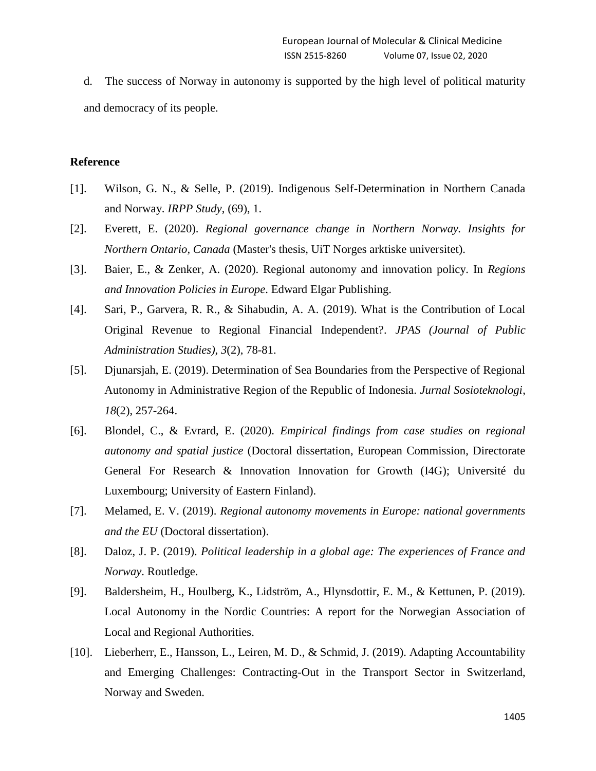d. The success of Norway in autonomy is supported by the high level of political maturity and democracy of its people.

#### **Reference**

- [1]. Wilson, G. N., & Selle, P. (2019). Indigenous Self-Determination in Northern Canada and Norway. *IRPP Study*, (69), 1.
- [2]. Everett, E. (2020). *Regional governance change in Northern Norway. Insights for Northern Ontario, Canada* (Master's thesis, UiT Norges arktiske universitet).
- [3]. Baier, E., & Zenker, A. (2020). Regional autonomy and innovation policy. In *Regions and Innovation Policies in Europe*. Edward Elgar Publishing.
- [4]. Sari, P., Garvera, R. R., & Sihabudin, A. A. (2019). What is the Contribution of Local Original Revenue to Regional Financial Independent?. *JPAS (Journal of Public Administration Studies)*, *3*(2), 78-81.
- [5]. Djunarsjah, E. (2019). Determination of Sea Boundaries from the Perspective of Regional Autonomy in Administrative Region of the Republic of Indonesia. *Jurnal Sosioteknologi*, *18*(2), 257-264.
- [6]. Blondel, C., & Evrard, E. (2020). *Empirical findings from case studies on regional autonomy and spatial justice* (Doctoral dissertation, European Commission, Directorate General For Research & Innovation Innovation for Growth (I4G); Université du Luxembourg; University of Eastern Finland).
- [7]. Melamed, E. V. (2019). *Regional autonomy movements in Europe: national governments and the EU* (Doctoral dissertation).
- [8]. Daloz, J. P. (2019). *Political leadership in a global age: The experiences of France and Norway*. Routledge.
- [9]. Baldersheim, H., Houlberg, K., Lidström, A., Hlynsdottir, E. M., & Kettunen, P. (2019). Local Autonomy in the Nordic Countries: A report for the Norwegian Association of Local and Regional Authorities.
- [10]. Lieberherr, E., Hansson, L., Leiren, M. D., & Schmid, J. (2019). Adapting Accountability and Emerging Challenges: Contracting-Out in the Transport Sector in Switzerland, Norway and Sweden.